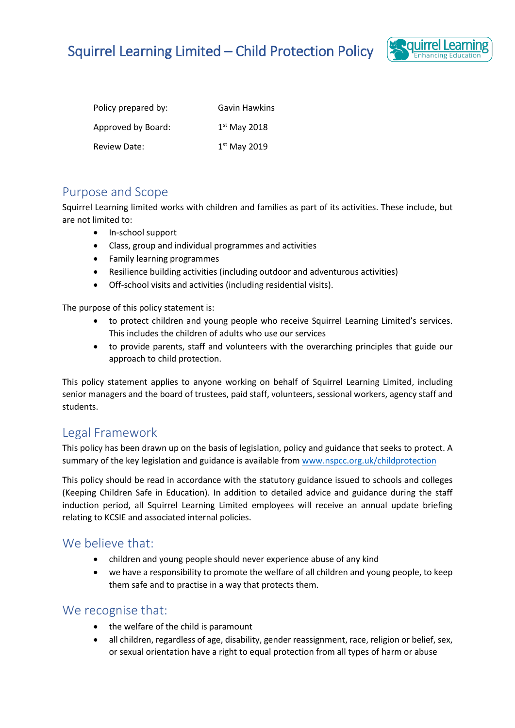# Squirrel Learning Limited – Child Protection Policy



| Policy prepared by: | Gavin Hawkins  |
|---------------------|----------------|
| Approved by Board:  | $1st$ May 2018 |
| <b>Review Date:</b> | $1st$ May 2019 |

#### Purpose and Scope

Squirrel Learning limited works with children and families as part of its activities. These include, but are not limited to:

- In-school support
- Class, group and individual programmes and activities
- Family learning programmes
- Resilience building activities (including outdoor and adventurous activities)
- Off-school visits and activities (including residential visits).

The purpose of this policy statement is:

- to protect children and young people who receive Squirrel Learning Limited's services. This includes the children of adults who use our services
- to provide parents, staff and volunteers with the overarching principles that guide our approach to child protection.

This policy statement applies to anyone working on behalf of Squirrel Learning Limited, including senior managers and the board of trustees, paid staff, volunteers, sessional workers, agency staff and students.

### Legal Framework

This policy has been drawn up on the basis of legislation, policy and guidance that seeks to protect. A summary of the key legislation and guidance is available from [www.nspcc.org.uk/childprotection](http://www.nspcc.org.uk/childprotection)

This policy should be read in accordance with the statutory guidance issued to schools and colleges (Keeping Children Safe in Education). In addition to detailed advice and guidance during the staff induction period, all Squirrel Learning Limited employees will receive an annual update briefing relating to KCSIE and associated internal policies.

#### We believe that:

- children and young people should never experience abuse of any kind
- we have a responsibility to promote the welfare of all children and young people, to keep them safe and to practise in a way that protects them.

#### We recognise that:

- the welfare of the child is paramount
- all children, regardless of age, disability, gender reassignment, race, religion or belief, sex, or sexual orientation have a right to equal protection from all types of harm or abuse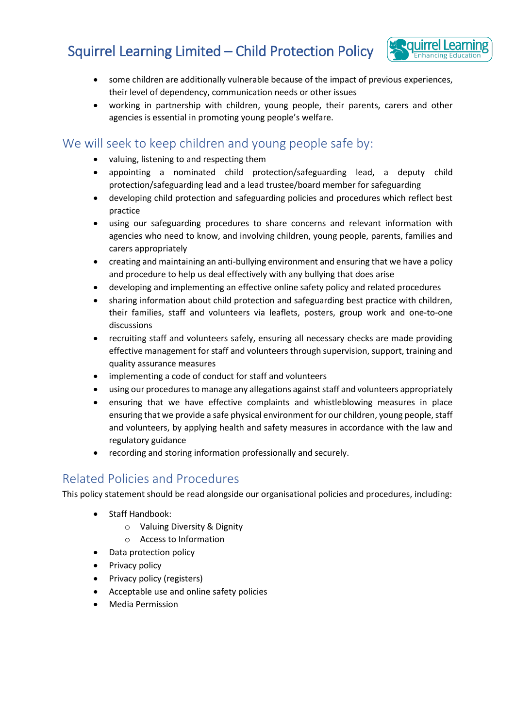# Squirrel Learning Limited – Child Protection Policy



- some children are additionally vulnerable because of the impact of previous experiences, their level of dependency, communication needs or other issues
- working in partnership with children, young people, their parents, carers and other agencies is essential in promoting young people's welfare.

### We will seek to keep children and young people safe by:

- valuing, listening to and respecting them
- appointing a nominated child protection/safeguarding lead, a deputy child protection/safeguarding lead and a lead trustee/board member for safeguarding
- developing child protection and safeguarding policies and procedures which reflect best practice
- using our safeguarding procedures to share concerns and relevant information with agencies who need to know, and involving children, young people, parents, families and carers appropriately
- creating and maintaining an anti-bullying environment and ensuring that we have a policy and procedure to help us deal effectively with any bullying that does arise
- developing and implementing an effective online safety policy and related procedures
- sharing information about child protection and safeguarding best practice with children, their families, staff and volunteers via leaflets, posters, group work and one-to-one discussions
- recruiting staff and volunteers safely, ensuring all necessary checks are made providing effective management for staff and volunteers through supervision, support, training and quality assurance measures
- implementing a code of conduct for staff and volunteers
- using our procedures to manage any allegations against staff and volunteers appropriately
- ensuring that we have effective complaints and whistleblowing measures in place ensuring that we provide a safe physical environment for our children, young people, staff and volunteers, by applying health and safety measures in accordance with the law and regulatory guidance
- recording and storing information professionally and securely.

## Related Policies and Procedures

This policy statement should be read alongside our organisational policies and procedures, including:

- Staff Handbook:
	- o Valuing Diversity & Dignity
	- o Access to Information
- Data protection policy
- Privacy policy
- Privacy policy (registers)
- Acceptable use and online safety policies
- Media Permission